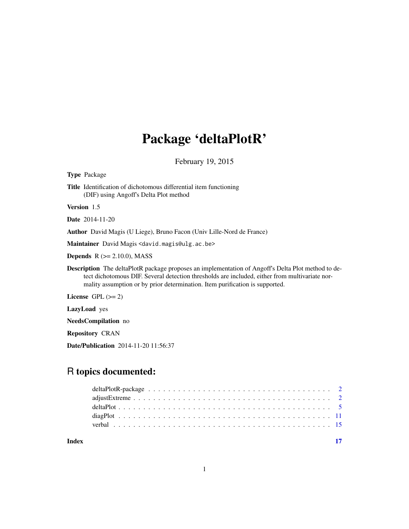## Package 'deltaPlotR'

February 19, 2015

Type Package

Title Identification of dichotomous differential item functioning (DIF) using Angoff's Delta Plot method

Version 1.5

Date 2014-11-20

Author David Magis (U Liege), Bruno Facon (Univ Lille-Nord de France)

Maintainer David Magis <david.magis@ulg.ac.be>

**Depends**  $R$  ( $>= 2.10.0$ ), MASS

Description The deltaPlotR package proposes an implementation of Angoff's Delta Plot method to detect dichotomous DIF. Several detection thresholds are included, either from multivariate normality assumption or by prior determination. Item purification is supported.

License  $GPL (= 2)$ 

LazyLoad yes

NeedsCompilation no

Repository CRAN

Date/Publication 2014-11-20 11:56:37

## R topics documented:

| Index |  |  |  |  |  |  |  |  |  |  |  |  |
|-------|--|--|--|--|--|--|--|--|--|--|--|--|
|       |  |  |  |  |  |  |  |  |  |  |  |  |
|       |  |  |  |  |  |  |  |  |  |  |  |  |
|       |  |  |  |  |  |  |  |  |  |  |  |  |
|       |  |  |  |  |  |  |  |  |  |  |  |  |
|       |  |  |  |  |  |  |  |  |  |  |  |  |

1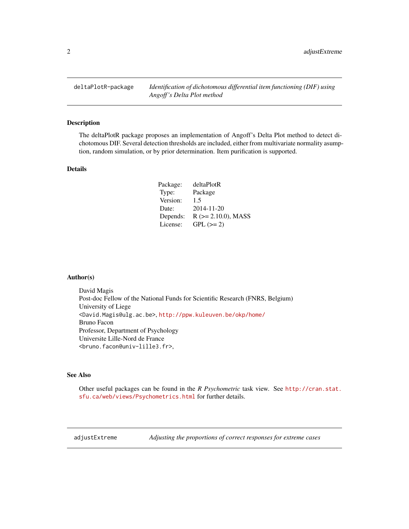<span id="page-1-0"></span>deltaPlotR-package *Identification of dichotomous differential item functioning (DIF) using Angoff 's Delta Plot method*

#### Description

The deltaPlotR package proposes an implementation of Angoff's Delta Plot method to detect dichotomous DIF. Several detection thresholds are included, either from multivariate normality asumption, random simulation, or by prior determination. Item purification is supported.

#### Details

| Package: | deltaPlotR                |
|----------|---------------------------|
| Type:    | Package                   |
| Version: | 1.5                       |
| Date:    | 2014-11-20                |
| Depends: | $R$ ( $>= 2.10.0$ ), MASS |
| License: | $GPL (=2)$                |

#### Author(s)

David Magis Post-doc Fellow of the National Funds for Scientific Research (FNRS, Belgium) University of Liege <David.Magis@ulg.ac.be>, <http://ppw.kuleuven.be/okp/home/> Bruno Facon Professor, Department of Psychology Universite Lille-Nord de France <bruno.facon@univ-lille3.fr>,

#### See Also

Other useful packages can be found in the *R Psychometric* task view. See [http://cran.stat.](http://cran.stat.sfu.ca/web/views/Psychometrics.html) [sfu.ca/web/views/Psychometrics.html](http://cran.stat.sfu.ca/web/views/Psychometrics.html) for further details.

<span id="page-1-1"></span>adjustExtreme *Adjusting the proportions of correct responses for extreme cases*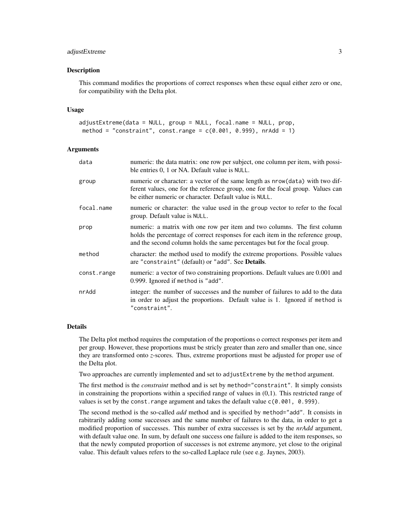#### adjustExtreme 3

#### Description

This command modifies the proportions of correct responses when these equal either zero or one, for compatibility with the Delta plot.

#### Usage

```
adjustExtreme(data = NULL, group = NULL, focal.name = NULL, prop,
method = "constraint", const.range = c(0.001, 0.999), nrAdd = 1)
```
#### Arguments

| data        | numeric: the data matrix: one row per subject, one column per item, with possi-<br>ble entries 0, 1 or NA. Default value is NULL.                                                                                                         |
|-------------|-------------------------------------------------------------------------------------------------------------------------------------------------------------------------------------------------------------------------------------------|
| group       | numeric or character: a vector of the same length as nrow(data) with two dif-<br>ferent values, one for the reference group, one for the focal group. Values can<br>be either numeric or character. Default value is NULL.                |
| focal.name  | numeric or character: the value used in the group vector to refer to the focal<br>group. Default value is NULL.                                                                                                                           |
| prop        | numeric: a matrix with one row per item and two columns. The first column<br>holds the percentage of correct responses for each item in the reference group,<br>and the second column holds the same percentages but for the focal group. |
| method      | character: the method used to modify the extreme proportions. Possible values<br>are "constraint" (default) or "add". See <b>Details</b> .                                                                                                |
| const.range | numeric: a vector of two constraining proportions. Default values are 0.001 and<br>0.999. Ignored if method is "add".                                                                                                                     |
| nrAdd       | integer: the number of successes and the number of failures to add to the data<br>in order to adjust the proportions. Default value is 1. Ignored if method is<br>"constraint".                                                           |
|             |                                                                                                                                                                                                                                           |

#### Details

The Delta plot method requires the computation of the proportions o correct responses per item and per group. However, these proportions must be stricly greater than zero and smaller than one, since they are transformed onto *z*-scores. Thus, extreme proportions must be adjusted for proper use of the Delta plot.

Two approaches are currently implemented and set to adjustExtreme by the method argument.

The first method is the *constraint* method and is set by method="constraint". It simply consists in constraining the proportions within a specified range of values in (0,1). This restricted range of values is set by the const.range argument and takes the default value  $c(0.001, 0.999)$ .

The second method is the so-called *add* method and is specified by method="add". It consists in rabitrarily adding some successes and the same number of failures to the data, in order to get a modified proportion of successes. This number of extra successes is set by the *nrAdd* argument, with default value one. In sum, by default one success one failure is added to the item responses, so that the newly computed proportion of successes is not extreme anymore, yet close to the original value. This default values refers to the so-called Laplace rule (see e.g. Jaynes, 2003).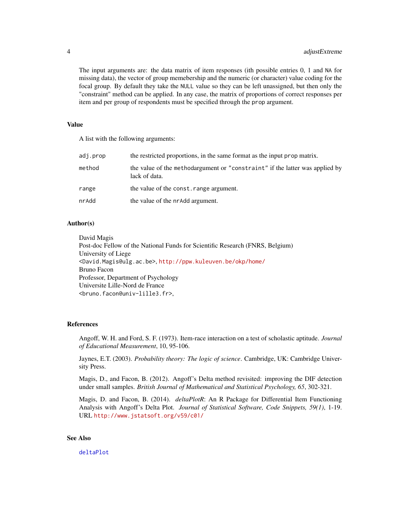<span id="page-3-0"></span>The input arguments are: the data matrix of item responses (ith possible entries 0, 1 and NA for missing data), the vector of group memebership and the numeric (or character) value coding for the focal group. By default they take the NULL value so they can be left unassigned, but then only the "constraint" method can be applied. In any case, the matrix of proportions of correct responses per item and per group of respondents must be specified through the prop argument.

#### Value

A list with the following arguments:

| adj.prop | the restricted proportions, in the same format as the input prop matrix.                      |
|----------|-----------------------------------------------------------------------------------------------|
| method   | the value of the methodargument or "constraint" if the latter was applied by<br>lack of data. |
| range    | the value of the const. range argument.                                                       |
| nrAdd    | the value of the nr Add argument.                                                             |

#### Author(s)

David Magis Post-doc Fellow of the National Funds for Scientific Research (FNRS, Belgium) University of Liege <David.Magis@ulg.ac.be>, <http://ppw.kuleuven.be/okp/home/> Bruno Facon Professor, Department of Psychology Universite Lille-Nord de France <bruno.facon@univ-lille3.fr>,

#### References

Angoff, W. H. and Ford, S. F. (1973). Item-race interaction on a test of scholastic aptitude. *Journal of Educational Measurement*, 10, 95-106.

Jaynes, E.T. (2003). *Probability theory: The logic of science*. Cambridge, UK: Cambridge University Press.

Magis, D., and Facon, B. (2012). Angoff's Delta method revisited: improving the DIF detection under small samples. *British Journal of Mathematical and Statistical Psychology, 65*, 302-321.

Magis, D. and Facon, B. (2014). *deltaPlotR*: An R Package for Differential Item Functioning Analysis with Angoff's Delta Plot. *Journal of Statistical Software, Code Snippets, 59(1)*, 1-19. URL <http://www.jstatsoft.org/v59/c01/>

#### See Also

[deltaPlot](#page-4-1)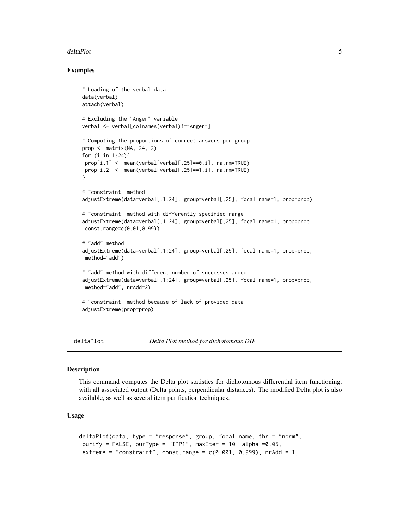#### <span id="page-4-0"></span>Examples

```
# Loading of the verbal data
data(verbal)
attach(verbal)
# Excluding the "Anger" variable
verbal <- verbal[colnames(verbal)!="Anger"]
# Computing the proportions of correct answers per group
prop <- matrix(NA, 24, 2)
for (i in 1:24){
prop[i,1] <- mean(verbal[verbal[,25]==0,i], na.rm=TRUE)
prop[i,2] <- mean(verbal[verbal[,25]==1,i], na.rm=TRUE)
}
# "constraint" method
adjustExtreme(data=verbal[,1:24], group=verbal[,25], focal.name=1, prop=prop)
# "constraint" method with differently specified range
adjustExtreme(data=verbal[,1:24], group=verbal[,25], focal.name=1, prop=prop,
const.range=c(0.01,0.99))
# "add" method
adjustExtreme(data=verbal[,1:24], group=verbal[,25], focal.name=1, prop=prop,
method="add")
# "add" method with different number of successes added
adjustExtreme(data=verbal[,1:24], group=verbal[,25], focal.name=1, prop=prop,
method="add", nrAdd=2)
# "constraint" method because of lack of provided data
adjustExtreme(prop=prop)
```
<span id="page-4-1"></span>deltaPlot *Delta Plot method for dichotomous DIF*

#### Description

This command computes the Delta plot statistics for dichotomous differential item functioning, with all associated output (Delta points, perpendicular distances). The modified Delta plot is also available, as well as several item purification techniques.

#### Usage

```
deltaPlot(data, type = "response", group, focal.name, thr = "norm",
purify = FALSE, purType = "IPP1", maxIter = 10, alpha =0.05,
extreme = "constraint", const.range = c(0.001, 0.999), nrAdd = 1,
```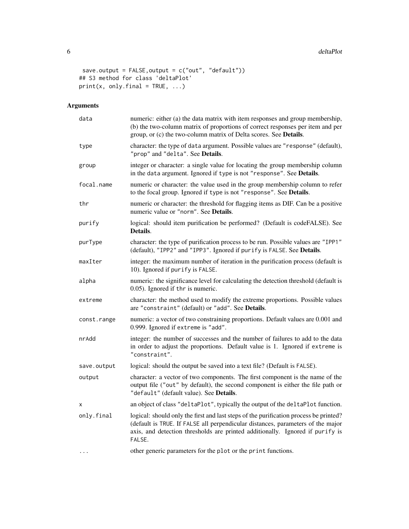```
save.output = FALSE,output = c("out", "default"))
## S3 method for class 'deltaPlot'
print(x, only final = TRUE, ...)
```
### Arguments

| data        | numeric: either (a) the data matrix with item responses and group membership,<br>(b) the two-column matrix of proportions of correct responses per item and per<br>group, or (c) the two-column matrix of Delta scores. See Details.                                |
|-------------|---------------------------------------------------------------------------------------------------------------------------------------------------------------------------------------------------------------------------------------------------------------------|
| type        | character: the type of data argument. Possible values are "response" (default),<br>"prop" and "delta". See Details.                                                                                                                                                 |
| group       | integer or character: a single value for locating the group membership column<br>in the data argument. Ignored if type is not "response". See Details.                                                                                                              |
| focal.name  | numeric or character: the value used in the group membership column to refer<br>to the focal group. Ignored if type is not "response". See Details.                                                                                                                 |
| thr         | numeric or character: the threshold for flagging items as DIF. Can be a positive<br>numeric value or "norm". See Details.                                                                                                                                           |
| purify      | logical: should item purification be performed? (Default is codeFALSE). See<br>Details.                                                                                                                                                                             |
| purType     | character: the type of purification process to be run. Possible values are "IPP1"<br>(default), "IPP2" and "IPP3". Ignored if purify is FALSE. See Details.                                                                                                         |
| maxIter     | integer: the maximum number of iteration in the purification process (default is<br>10). Ignored if purify is FALSE.                                                                                                                                                |
| alpha       | numeric: the significance level for calculating the detection threshold (default is<br>0.05). Ignored if thr is numeric.                                                                                                                                            |
| extreme     | character: the method used to modify the extreme proportions. Possible values<br>are "constraint" (default) or "add". See Details.                                                                                                                                  |
| const.range | numeric: a vector of two constraining proportions. Default values are 0.001 and<br>0.999. Ignored if extreme is "add".                                                                                                                                              |
| nrAdd       | integer: the number of successes and the number of failures to add to the data<br>in order to adjust the proportions. Default value is 1. Ignored if extreme is<br>"constraint".                                                                                    |
| save.output | logical: should the output be saved into a text file? (Default is FALSE).                                                                                                                                                                                           |
| output      | character: a vector of two components. The first component is the name of the<br>output file ("out" by default), the second component is either the file path or<br>"default" (default value). See Details.                                                         |
| х           | an object of class "deltaPlot", typically the output of the deltaPlot function.                                                                                                                                                                                     |
| only.final  | logical: should only the first and last steps of the purification process be printed?<br>(default is TRUE. If FALSE all perpendicular distances, parameters of the major<br>axis, and detection thresholds are printed additionally. Ignored if purify is<br>FALSE. |
| $\ddots$    | other generic parameters for the plot or the print functions.                                                                                                                                                                                                       |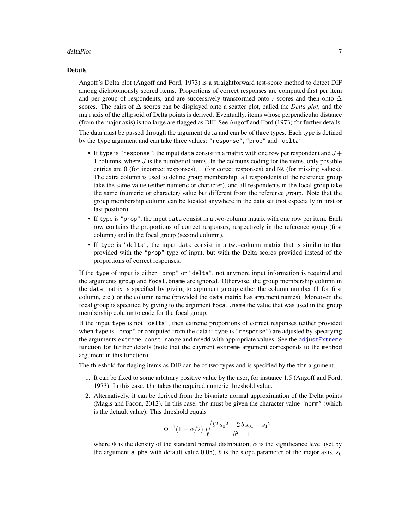#### <span id="page-6-0"></span>Details

Angoff's Delta plot (Angoff and Ford, 1973) is a straightforward test-score method to detect DIF among dichotomously scored items. Proportions of correct responses are computed first per item and per group of respondents, and are successively transformed onto *z*-scores and then onto  $\Delta$ scores. The pairs of ∆ scores can be displayed onto a scatter plot, called the *Delta plot*, and the majr axis of the ellipsoid of Delta points is derived. Eventually, items whose perpendicular distance (from the major axis) is too large are flagged as DIF. See Angoff and Ford (1973) for further details.

The data must be passed through the argument data and can be of three types. Each type is defined by the type argument and can take three values: "response", "prop" and "delta".

- If type is "response", the input data consist in a matrix with one row per respondent and  $J+$ 1 columns, where  $J$  is the number of items. In the colmuns coding for the items, only possible entries are 0 (for incorrect responses), 1 (for corect responses) and NA (for missing values). The extra column is used to define group membership: all respondents of the reference group take the same value (either numeric or character), and all respondents in the focal group take the same (numeric or character) value but different from the reference group. Note that the group membership column can be located anywhere in the data set (not especially in first or last position).
- If type is "prop", the input data consist in a two-column matrix with one row per item. Each row contains the proportions of correct responses, respectively in the reference group (first column) and in the focal group (second column).
- If type is "delta", the input data consist in a two-column matrix that is similar to that provided with the "prop" type of input, but with the Delta scores provided instead of the proportions of correct responses.

If the type of input is either "prop" or "delta", not anymore input information is required and the arguments group and focal.bname are ignored. Otherwise, the group membership column in the data matrix is specified by giving to argument group either the column number (1 for first column, etc.) or the column name (provided the data matrix has argument names). Moreover, the focal group is specified by giving to the argument focal. name the value that was used in the group membership column to code for the focal group.

If the input type is not "delta", then extreme proportions of correct responses (either provided when type is "prop" or computed from the data if type is "response") are adjusted by specifying the arguments extreme, const.range and nrAdd with appropriate values. See the [adjustExtreme](#page-1-1) function for further details (note that the cuyrrent extreme argument corresponds to the method argument in this function).

The threshold for flaging items as DIF can be of two types and is specified by the thr argument.

- 1. It can be fixed to some arbitrary positive value by the user, for instance 1.5 (Angoff and Ford, 1973). In this case, thr takes the required numeric threshold value.
- 2. Alternatively, it can be derived from the bivariate normal approximation of the Delta points (Magis and Facon, 2012). In this case, thr must be given the character value "norm" (which is the default value). This threshold equals

$$
\Phi^{-1}(1-\alpha/2)\sqrt{\frac{b^2s_0^2-2\,b\,s_{01}+s_1^2}{b^2+1}}
$$

where  $\Phi$  is the density of the standard normal distribution,  $\alpha$  is the significance level (set by the argument alpha with default value 0.05), b is the slope parameter of the major axis,  $s_0$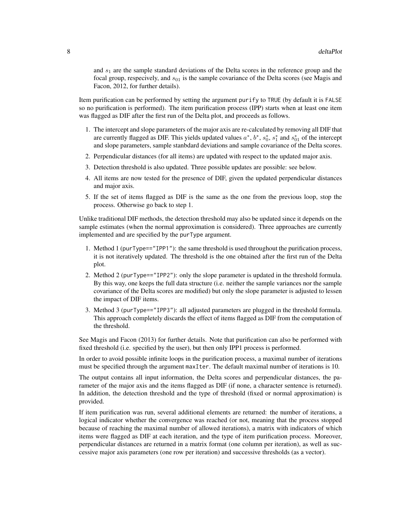and  $s<sub>1</sub>$  are the sample standard deviations of the Delta scores in the reference group and the focal group, respecively, and  $s_{01}$  is the sample covariance of the Delta scores (see Magis and Facon, 2012, for further details).

Item purification can be performed by setting the argument purify to TRUE (by default it is FALSE so no purification is performed). The item purification process (IPP) starts when at least one item was flagged as DIF after the first run of the Delta plot, and proceeds as follows.

- 1. The intercept and slope parameters of the major axis are re-calculated by removing all DIF that are currently flagged as DIF. This yields updated values  $a^*$ ,  $b^*$ ,  $s_0^*$ ,  $s_1^*$  and  $s_{01}^*$  of the intercept and slope parameters, sample stanbdard deviations and sample covariance of the Delta scores.
- 2. Perpendicular distances (for all items) are updated with respect to the updated major axis.
- 3. Detection threshold is also updated. Three possible updates are possible: see below.
- 4. All items are now tested for the presence of DIF, given the updated perpendicular distances and major axis.
- 5. If the set of items flagged as DIF is the same as the one from the previous loop, stop the process. Otherwise go back to step 1.

Unlike traditional DIF methods, the detection threshold may also be updated since it depends on the sample estimates (when the normal approximation is considered). Three approaches are currently implemented and are specified by the purType argument.

- 1. Method 1 (purType=="IPP1"): the same threshold is used throughout the purification process, it is not iteratively updated. The threshold is the one obtained after the first run of the Delta plot.
- 2. Method 2 (purType=="IPP2"): only the slope parameter is updated in the threshold formula. By this way, one keeps the full data structure (i.e. neither the sample variances nor the sample covariance of the Delta scores are modified) but only the slope parameter is adjusted to lessen the impact of DIF items.
- 3. Method 3 (purType=="IPP3"): all adjusted parameters are plugged in the threshold formula. This approach completely discards the effect of items flagged as DIF from the computation of the threshold.

See Magis and Facon (2013) for further details. Note that purification can also be performed with fixed threshold (i.e. specified by the user), but then only IPP1 process is performed.

In order to avoid possible infinite loops in the purification process, a maximal number of iterations must be specified through the argument maxIter. The default maximal number of iterations is 10.

The output contains all input information, the Delta scores and perpendicular distances, the parameter of the major axis and the items flagged as DIF (if none, a character sentence is returned). In addition, the detection threshold and the type of threshold (fixed or normal approximation) is provided.

If item purification was run, several additional elements are returned: the number of iterations, a logical indicator whether the convergence was reached (or not, meaning that the process stopped because of reaching the maximal number of allowed iterations), a matrix with indicators of which items were flagged as DIF at each iteration, and the type of item purification process. Moreover, perpendicular distances are returned in a matrix format (one column per iteration), as well as successive major axis parameters (one row per iteration) and successive thresholds (as a vector).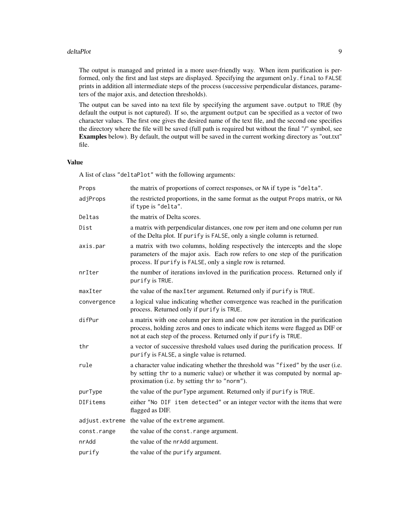The output is managed and printed in a more user-friendly way. When item purification is performed, only the first and last steps are displayed. Specifying the argument only.final to FALSE prints in addition all intermediate steps of the process (successive perpendicular distances, parameters of the major axis, and detection thresholds).

The output can be saved into na text file by specifying the argument save.output to TRUE (by default the output is not captured). If so, the argument output can be specified as a vector of two character values. The first one gives the desired name of the text file, and the second one specifies the directory where the file will be saved (full path is required but without the final "/" symbol, see Examples below). By default, the output will be saved in the current working directory as "out.txt" file.

#### Value

A list of class "deltaPlot" with the following arguments:

| Props       | the matrix of proportions of correct responses, or NA if type is "delta".                                                                                                                                                              |
|-------------|----------------------------------------------------------------------------------------------------------------------------------------------------------------------------------------------------------------------------------------|
| adjProps    | the restricted proportions, in the same format as the output Props matrix, or NA<br>if type is "delta".                                                                                                                                |
| Deltas      | the matrix of Delta scores.                                                                                                                                                                                                            |
| Dist        | a matrix with perpendicular distances, one row per item and one column per run<br>of the Delta plot. If purify is FALSE, only a single column is returned.                                                                             |
| axis.par    | a matrix with two columns, holding respectively the intercepts and the slope<br>parameters of the major axis. Each row refers to one step of the purification<br>process. If purify is FALSE, only a single row is returned.           |
| nrIter      | the number of iterations invloved in the purification process. Returned only if<br>purify is TRUE.                                                                                                                                     |
| maxIter     | the value of the maxIter argument. Returned only if purify is TRUE.                                                                                                                                                                    |
| convergence | a logical value indicating whether convergence was reached in the purification<br>process. Returned only if purify is TRUE.                                                                                                            |
| difPur      | a matrix with one column per item and one row per iteration in the purification<br>process, holding zeros and ones to indicate which items were flagged as DIF or<br>not at each step of the process. Returned only if purify is TRUE. |
| thr         | a vector of successive threshold values used during the purification process. If<br>purify is FALSE, a single value is returned.                                                                                                       |
| rule        | a character value indicating whether the threshold was "fixed" by the user (i.e.<br>by setting thr to a numeric value) or whether it was computed by normal ap-<br>proximation (i.e. by setting thr to "norm").                        |
| purType     | the value of the purType argument. Returned only if purify is TRUE.                                                                                                                                                                    |
| DIFitems    | either "No DIF item detected" or an integer vector with the items that were<br>flagged as DIF.                                                                                                                                         |
|             | adjust. extreme the value of the extreme argument.                                                                                                                                                                                     |
| const.range | the value of the const.range argument.                                                                                                                                                                                                 |
| nrAdd       | the value of the nr Add argument.                                                                                                                                                                                                      |
| purify      | the value of the purify argument.                                                                                                                                                                                                      |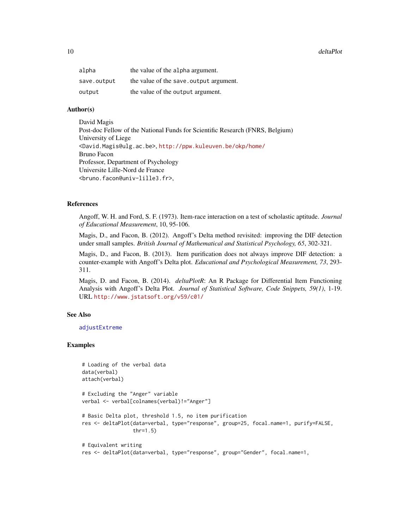<span id="page-9-0"></span>

| alpha       | the value of the alpha argument.        |
|-------------|-----------------------------------------|
| save.output | the value of the save. output argument. |
| output      | the value of the output argument.       |

#### Author(s)

David Magis Post-doc Fellow of the National Funds for Scientific Research (FNRS, Belgium) University of Liege <David.Magis@ulg.ac.be>, <http://ppw.kuleuven.be/okp/home/> Bruno Facon Professor, Department of Psychology Universite Lille-Nord de France <bruno.facon@univ-lille3.fr>,

#### References

Angoff, W. H. and Ford, S. F. (1973). Item-race interaction on a test of scholastic aptitude. *Journal of Educational Measurement*, 10, 95-106.

Magis, D., and Facon, B. (2012). Angoff's Delta method revisited: improving the DIF detection under small samples. *British Journal of Mathematical and Statistical Psychology, 65*, 302-321.

Magis, D., and Facon, B. (2013). Item purification does not always improve DIF detection: a counter-example with Angoff's Delta plot. *Educational and Psychological Measurement, 73*, 293- 311.

Magis, D. and Facon, B. (2014). *deltaPlotR*: An R Package for Differential Item Functioning Analysis with Angoff's Delta Plot. *Journal of Statistical Software, Code Snippets, 59(1)*, 1-19. URL <http://www.jstatsoft.org/v59/c01/>

#### See Also

[adjustExtreme](#page-1-1)

#### Examples

```
# Loading of the verbal data
data(verbal)
attach(verbal)
# Excluding the "Anger" variable
verbal <- verbal[colnames(verbal)!="Anger"]
# Basic Delta plot, threshold 1.5, no item purification
res <- deltaPlot(data=verbal, type="response", group=25, focal.name=1, purify=FALSE,
                 thr=1.5)
# Equivalent writing
res <- deltaPlot(data=verbal, type="response", group="Gender", focal.name=1,
```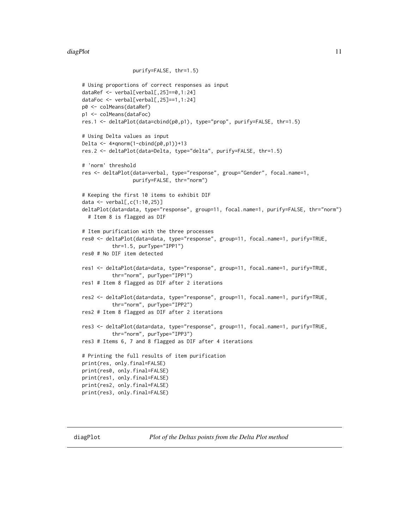```
purify=FALSE, thr=1.5)
# Using proportions of correct responses as input
dataRef <- verbal[verbal[,25]==0,1:24]
dataFoc <- verbal[verbal[,25]==1,1:24]
p0 <- colMeans(dataRef)
p1 <- colMeans(dataFoc)
res.1 <- deltaPlot(data=cbind(p0,p1), type="prop", purify=FALSE, thr=1.5)
# Using Delta values as input
Delta <- 4*qnorm(1-cbind(p0,p1))+13
res.2 <- deltaPlot(data=Delta, type="delta", purify=FALSE, thr=1.5)
# 'norm' threshold
res <- deltaPlot(data=verbal, type="response", group="Gender", focal.name=1,
                 purify=FALSE, thr="norm")
# Keeping the first 10 items to exhibit DIF
data <- verbal[,c(1:10,25)]
deltaPlot(data=data, type="response", group=11, focal.name=1, purify=FALSE, thr="norm")
  # Item 8 is flagged as DIF
# Item purification with the three processes
res0 <- deltaPlot(data=data, type="response", group=11, focal.name=1, purify=TRUE,
          thr=1.5, purType="IPP1")
res0 # No DIF item detected
res1 <- deltaPlot(data=data, type="response", group=11, focal.name=1, purify=TRUE,
          thr="norm", purType="IPP1")
res1 # Item 8 flagged as DIF after 2 iterations
res2 <- deltaPlot(data=data, type="response", group=11, focal.name=1, purify=TRUE,
          thr="norm", purType="IPP2")
res2 # Item 8 flagged as DIF after 2 iterations
res3 <- deltaPlot(data=data, type="response", group=11, focal.name=1, purify=TRUE,
          thr="norm", purType="IPP3")
res3 # Items 6, 7 and 8 flagged as DIF after 4 iterations
# Printing the full results of item purification
print(res, only.final=FALSE)
print(res0, only.final=FALSE)
print(res1, only.final=FALSE)
print(res2, only.final=FALSE)
print(res3, only.final=FALSE)
```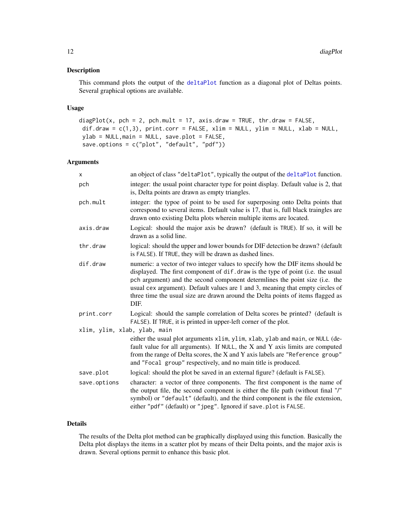#### <span id="page-11-0"></span>Description

This command plots the output of the [deltaPlot](#page-4-1) function as a diagonal plot of Deltas points. Several graphical options are available.

#### Usage

```
diagPlot(x, pch = 2, pch.mult = 17, axis.draw = TRUE, thr.draw = FALSE,
dif.draw = c(1,3), print.corr = FALSE, xlim = NULL, ylim = NULL, xlab = NULL,
ylab = NULL,main = NULL, save.plot = FALSE,
save.options = c("plot", "default", "pdf"))
```
#### Arguments

| x                            | an object of class "deltaPlot", typically the output of the deltaPlot function.                                                                                                                                                                                                                                                                                                                                               |
|------------------------------|-------------------------------------------------------------------------------------------------------------------------------------------------------------------------------------------------------------------------------------------------------------------------------------------------------------------------------------------------------------------------------------------------------------------------------|
| pch                          | integer: the usual point character type for point display. Default value is 2, that<br>is, Delta points are drawn as empty triangles.                                                                                                                                                                                                                                                                                         |
| pch.mult                     | integer: the typoe of point to be used for superposing onto Delta points that<br>correspond to several items. Default value is 17, that is, full black traingles are<br>drawn onto existing Delta plots wherein multiple items are located.                                                                                                                                                                                   |
| axis.draw                    | Logical: should the major axis be drawn? (default is TRUE). If so, it will be<br>drawn as a solid line.                                                                                                                                                                                                                                                                                                                       |
| thr.draw                     | logical: should the upper and lower bounds for DIF detection be drawn? (default<br>is FALSE). If TRUE, they will be drawn as dashed lines.                                                                                                                                                                                                                                                                                    |
| dif.draw                     | numeric: a vector of two integer values to specify how the DIF items should be<br>displayed. The first component of dif.draw is the type of point (i.e. the usual<br>pch argument) and the second component determlines the point size (i.e. the<br>usual cex argument). Default values are 1 and 3, meaning that empty circles of<br>three time the usual size are drawn around the Delta points of items flagged as<br>DIF. |
| print.corr                   | Logical: should the sample correlation of Delta scores be printed? (default is<br>FALSE). If TRUE, it is printed in upper-left corner of the plot.                                                                                                                                                                                                                                                                            |
| xlim, ylim, xlab, ylab, main |                                                                                                                                                                                                                                                                                                                                                                                                                               |
|                              | either the usual plot arguments xlim, ylim, xlab, ylab and main, or NULL (de-<br>fault value for all arguments). If NULL, the $X$ and $Y$ axis limits are computed<br>from the range of Delta scores, the X and Y axis labels are "Reference group"<br>and "Focal group" respectively, and no main title is produced.                                                                                                         |
| save.plot                    | logical: should the plot be saved in an external figure? (default is FALSE).                                                                                                                                                                                                                                                                                                                                                  |
| save.options                 | character: a vector of three components. The first component is the name of<br>the output file, the second component is either the file path (without final "/"<br>symbol) or "default" (default), and the third component is the file extension,<br>either "pdf" (default) or "jpeg". Ignored if save.plot is FALSE.                                                                                                         |

#### Details

The results of the Delta plot method can be graphically displayed using this function. Basically the Delta plot displays the items in a scatter plot by means of their Delta points, and the major axis is drawn. Several options permit to enhance this basic plot.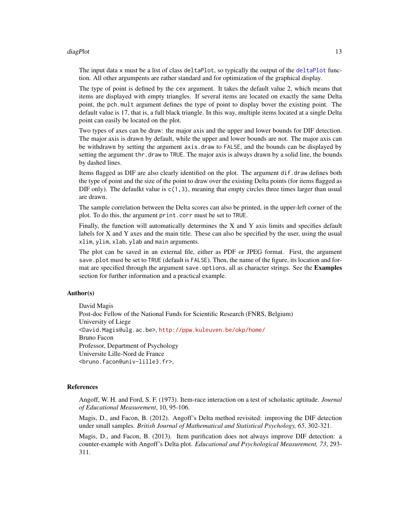#### diagPlot the contract of the contract of the contract of the contract of the contract of the contract of the contract of the contract of the contract of the contract of the contract of the contract of the contract of the c

The input data x must be a list of class deltaPlot, so typically the output of the [deltaPlot](#page-4-1) function. All other argumpents are rather standard and for optimization of the graphical display.

The type of point is defined by the cex argument. It takes the default value 2, which means that items are displayed with empty triangles. If several items are located on exactly the same Delta point, the pch.mult argument defines the type of point to display bover the existing point. The default value is 17, that is, a full black triangle. In this way, multiple items located at a single Delta point can easily be located on the plot.

Two types of axes can be draw: the major axis and the upper and lower bounds for DIF detection. The major axis is drawn by default, while the upper and lower bounds are not. The major axis can be withdrawn by setting the argument axis.draw to FALSE, and the bounds can be displayed by setting the argument thr.draw to TRUE. The major axis is always drawn by a solid line, the bounds by dashed lines.

Items flagged as DIF are also clearly identified on the plot. The argument dif.draw defines both the type of point and the size of the point to draw over the existing Delta points (for items flagged as DIF only). The defaulkt value is  $c(1,3)$ , meaning that empty circles three times larger than usual are drawn.

The sample correlation between the Delta scores can also be printed, in the upper-left corner of the plot. To do this, the argument print.corr must be set to TRUE.

Finally, the function will automatically determines the X and Y axis limits and specifies default labels for X and Y axes and the main title. These can also be specified by the user, using the usual xlim, ylim, xlab, ylab and main arguments.

The plot can be saved in an external file, either as PDF or JPEG format. First, the argument save.plot must be set to TRUE (default is FALSE). Then, the name of the figure, its location and format are specified through the argument save. options, all as character strings. See the Examples section for further information and a practical example.

#### Author(s)

David Magis Post-doc Fellow of the National Funds for Scientific Research (FNRS, Belgium) University of Liege <David.Magis@ulg.ac.be>, <http://ppw.kuleuven.be/okp/home/> Bruno Facon Professor, Department of Psychology Universite Lille-Nord de France <bruno.facon@univ-lille3.fr>,

#### References

Angoff, W. H. and Ford, S. F. (1973). Item-race interaction on a test of scholastic aptitude. *Journal of Educational Measurement*, 10, 95-106.

Magis, D., and Facon, B. (2012). Angoff's Delta method revisited: improving the DIF detection under small samples. *British Journal of Mathematical and Statistical Psychology, 65*, 302-321.

Magis, D., and Facon, B. (2013). Item purification does not always improve DIF detection: a counter-example with Angoff's Delta plot. *Educational and Psychological Measurement, 73*, 293- 311.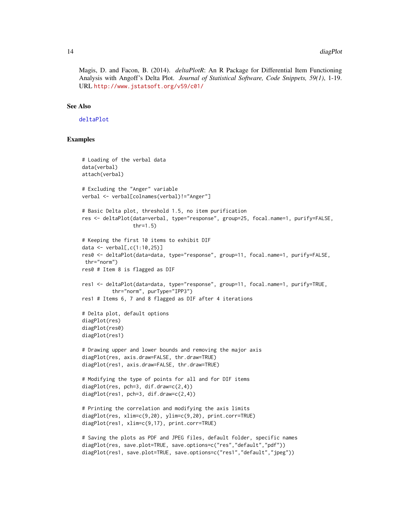<span id="page-13-0"></span>Magis, D. and Facon, B. (2014). *deltaPlotR*: An R Package for Differential Item Functioning Analysis with Angoff's Delta Plot. *Journal of Statistical Software, Code Snippets, 59(1)*, 1-19. URL <http://www.jstatsoft.org/v59/c01/>

#### See Also

[deltaPlot](#page-4-1)

#### Examples

```
# Loading of the verbal data
data(verbal)
attach(verbal)
# Excluding the "Anger" variable
verbal <- verbal[colnames(verbal)!="Anger"]
# Basic Delta plot, threshold 1.5, no item purification
res <- deltaPlot(data=verbal, type="response", group=25, focal.name=1, purify=FALSE,
                 thr=1.5)
# Keeping the first 10 items to exhibit DIF
data \le verbal[, c(1:10, 25)]
res0 <- deltaPlot(data=data, type="response", group=11, focal.name=1, purify=FALSE,
thr="norm")
res0 # Item 8 is flagged as DIF
res1 <- deltaPlot(data=data, type="response", group=11, focal.name=1, purify=TRUE,
          thr="norm", purType="IPP3")
res1 # Items 6, 7 and 8 flagged as DIF after 4 iterations
# Delta plot, default options
diagPlot(res)
diagPlot(res0)
diagPlot(res1)
# Drawing upper and lower bounds and removing the major axis
diagPlot(res, axis.draw=FALSE, thr.draw=TRUE)
diagPlot(res1, axis.draw=FALSE, thr.draw=TRUE)
# Modifying the type of points for all and for DIF items
diagPlot(res, pch=3, dif.draw=c(2,4))
diagPlot(res1, pch=3, dif.draw=c(2,4))
# Printing the correlation and modifying the axis limits
diagPlot(res, xlim=c(9,20), ylim=c(9,20), print.corr=TRUE)
diagPlot(res1, xlim=c(9,17), print.corr=TRUE)
# Saving the plots as PDF and JPEG files, default folder, specific names
diagPlot(res, save.plot=TRUE, save.options=c("res","default","pdf"))
diagPlot(res1, save.plot=TRUE, save.options=c("res1","default","jpeg"))
```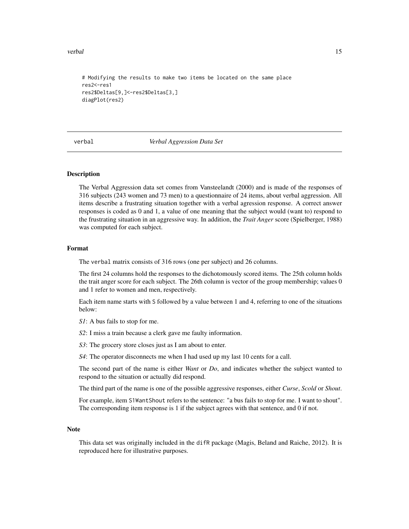<span id="page-14-0"></span>verbal and the contract of the contract of the contract of the contract of the contract of the contract of the contract of the contract of the contract of the contract of the contract of the contract of the contract of the

```
# Modifying the results to make two items be located on the same place
res2<-res1
res2$Deltas[9,]<-res2$Deltas[3,]
diagPlot(res2)
```
#### verbal *Verbal Aggression Data Set*

#### Description

The Verbal Aggression data set comes from Vansteelandt (2000) and is made of the responses of 316 subjects (243 women and 73 men) to a questionnaire of 24 items, about verbal aggression. All items describe a frustrating situation together with a verbal agression response. A correct answer responses is coded as 0 and 1, a value of one meaning that the subject would (want to) respond to the frustrating situation in an aggressive way. In addition, the *Trait Anger* score (Spielberger, 1988) was computed for each subject.

#### Format

The verbal matrix consists of 316 rows (one per subject) and 26 columns.

The first 24 columns hold the responses to the dichotomously scored items. The 25th column holds the trait anger score for each subject. The 26th column is vector of the group membership; values 0 and 1 refer to women and men, respectively.

Each item name starts with S followed by a value between 1 and 4, referring to one of the situations below:

*S1*: A bus fails to stop for me.

*S2*: I miss a train because a clerk gave me faulty information.

*S3*: The grocery store closes just as I am about to enter.

*S4*: The operator disconnects me when I had used up my last 10 cents for a call.

The second part of the name is either *Want* or *Do*, and indicates whether the subject wanted to respond to the situation or actually did respond.

The third part of the name is one of the possible aggressive responses, either *Curse*, *Scold* or *Shout*.

For example, item S1WantShout refers to the sentence: "a bus fails to stop for me. I want to shout". The corresponding item response is 1 if the subject agrees with that sentence, and 0 if not.

#### Note

This data set was originally included in the difR package (Magis, Beland and Raiche, 2012). It is reproduced here for illustrative purposes.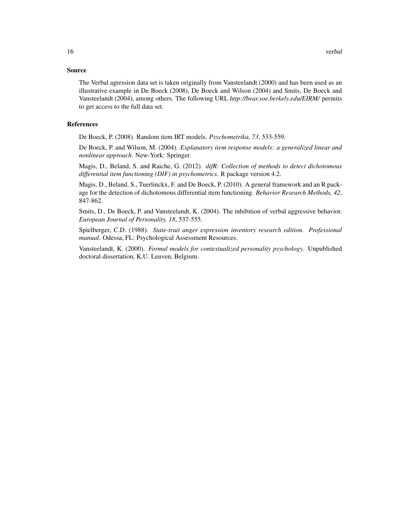#### Source

The Verbal agression data set is taken originally from Vansteelandt (2000) and has been used as an illustrative example in De Boeck (2008), De Boeck and Wilson (2004) and Smits, De Boeck and Vansteelandt (2004), among others. The following URL *http://bear.soe.berkely.edu/EIRM/* permits to get access to the full data set.

#### References

De Boeck, P. (2008). Random item IRT models. *Psychometrika, 73*, 533-559.

De Boeck, P. and Wilson, M. (2004). *Explanatory item response models: a generalized linear and nonlinear approach*. New-York: Springer.

Magis, D., Beland, S. and Raiche, G. (2012). *difR: Collection of methods to detect dichotomous differential item functioning (DIF) in psychometrics*. R package version 4.2.

Magis, D., Beland, S., Tuerlinckx, F. and De Boeck, P. (2010). A general framework and an R package for the detection of dichotomous differential item functioning. *Behavior Research Methods, 42*, 847-862.

Smits, D., De Boeck, P. and Vansteelandt, K. (2004). The inhibition of verbal aggressive behavior. *European Journal of Personality, 18*, 537-555.

Spielberger, C.D. (1988). *State-trait anger expression inventory research edition. Professional manual*. Odessa, FL: Psychological Assessment Resources.

Vansteelandt, K. (2000). *Formal models for contextualized personality psychology*. Unpublished doctoral dissertation, K.U. Leuven, Belgium.